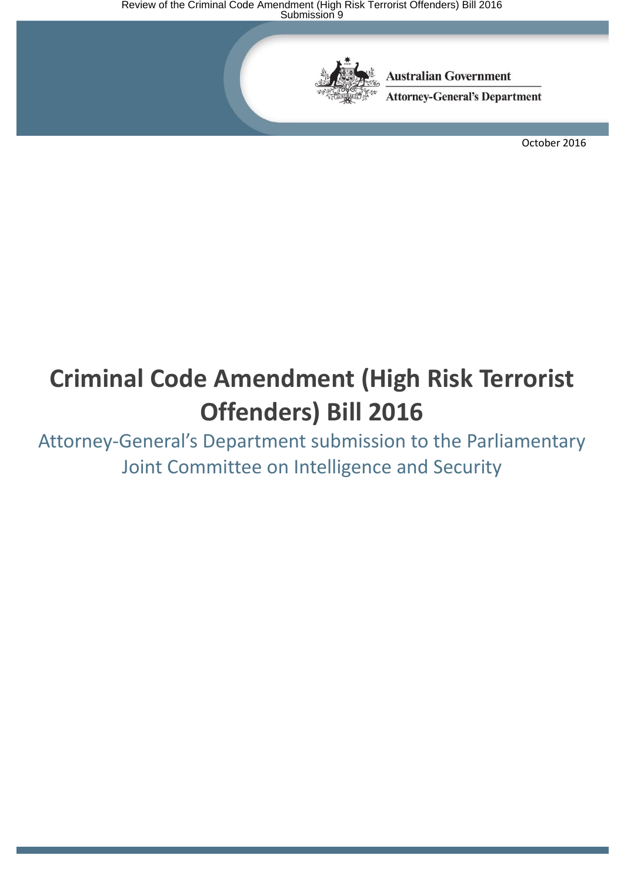

**Australian Government** 

**Attorney-General's Department** 

October 2016

# **Criminal Code Amendment (High Risk Terrorist Offenders) Bill 2016**

Attorney-General's Department submission to the Parliamentary Joint Committee on Intelligence and Security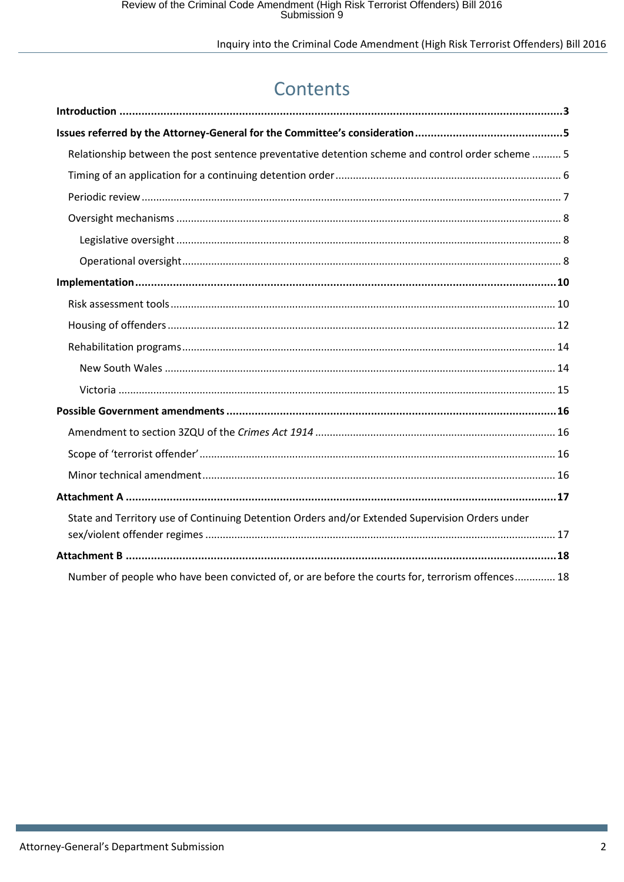## Contents

| Relationship between the post sentence preventative detention scheme and control order scheme  5 |
|--------------------------------------------------------------------------------------------------|
|                                                                                                  |
|                                                                                                  |
|                                                                                                  |
|                                                                                                  |
|                                                                                                  |
|                                                                                                  |
|                                                                                                  |
|                                                                                                  |
|                                                                                                  |
|                                                                                                  |
|                                                                                                  |
|                                                                                                  |
|                                                                                                  |
|                                                                                                  |
|                                                                                                  |
|                                                                                                  |
| State and Territory use of Continuing Detention Orders and/or Extended Supervision Orders under  |
|                                                                                                  |
| Number of people who have been convicted of, or are before the courts for, terrorism offences 18 |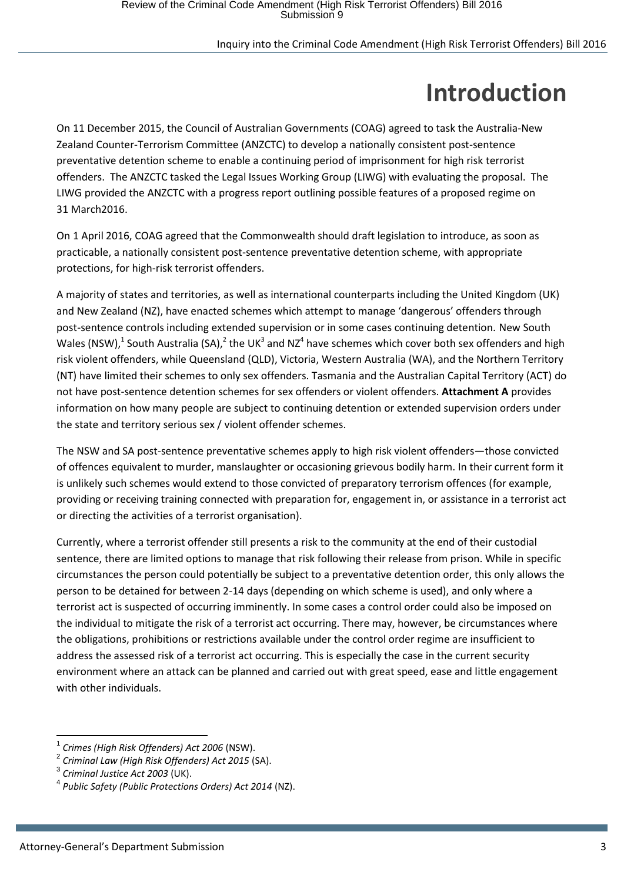# **Introduction**

<span id="page-2-0"></span>On 11 December 2015, the Council of Australian Governments (COAG) agreed to task the Australia-New Zealand Counter-Terrorism Committee (ANZCTC) to develop a nationally consistent post-sentence preventative detention scheme to enable a continuing period of imprisonment for high risk terrorist offenders. The ANZCTC tasked the Legal Issues Working Group (LIWG) with evaluating the proposal. The LIWG provided the ANZCTC with a progress report outlining possible features of a proposed regime on 31 March2016.

On 1 April 2016, COAG agreed that the Commonwealth should draft legislation to introduce, as soon as practicable, a nationally consistent post-sentence preventative detention scheme, with appropriate protections, for high-risk terrorist offenders.

A majority of states and territories, as well as international counterparts including the United Kingdom (UK) and New Zealand (NZ), have enacted schemes which attempt to manage 'dangerous' offenders through post-sentence controls including extended supervision or in some cases continuing detention. New South Wales (NSW),<sup>1</sup> South Australia (SA),<sup>2</sup> the UK<sup>3</sup> and NZ<sup>4</sup> have schemes which cover both sex offenders and high risk violent offenders, while Queensland (QLD), Victoria, Western Australia (WA), and the Northern Territory (NT) have limited their schemes to only sex offenders. Tasmania and the Australian Capital Territory (ACT) do not have post-sentence detention schemes for sex offenders or violent offenders. **Attachment A** provides information on how many people are subject to continuing detention or extended supervision orders under the state and territory serious sex / violent offender schemes.

The NSW and SA post-sentence preventative schemes apply to high risk violent offenders—those convicted of offences equivalent to murder, manslaughter or occasioning grievous bodily harm. In their current form it is unlikely such schemes would extend to those convicted of preparatory terrorism offences (for example, providing or receiving training connected with preparation for, engagement in, or assistance in a terrorist act or directing the activities of a terrorist organisation).

Currently, where a terrorist offender still presents a risk to the community at the end of their custodial sentence, there are limited options to manage that risk following their release from prison. While in specific circumstances the person could potentially be subject to a preventative detention order, this only allows the person to be detained for between 2-14 days (depending on which scheme is used), and only where a terrorist act is suspected of occurring imminently. In some cases a control order could also be imposed on the individual to mitigate the risk of a terrorist act occurring. There may, however, be circumstances where the obligations, prohibitions or restrictions available under the control order regime are insufficient to address the assessed risk of a terrorist act occurring. This is especially the case in the current security environment where an attack can be planned and carried out with great speed, ease and little engagement with other individuals.

1

<sup>1</sup> *Crimes (High Risk Offenders) Act 2006* (NSW).

<sup>2</sup> *Criminal Law (High Risk Offenders) Act 2015* (SA).

<sup>3</sup> *Criminal Justice Act 2003* (UK).

<sup>4</sup> *Public Safety (Public Protections Orders) Act 2014* (NZ).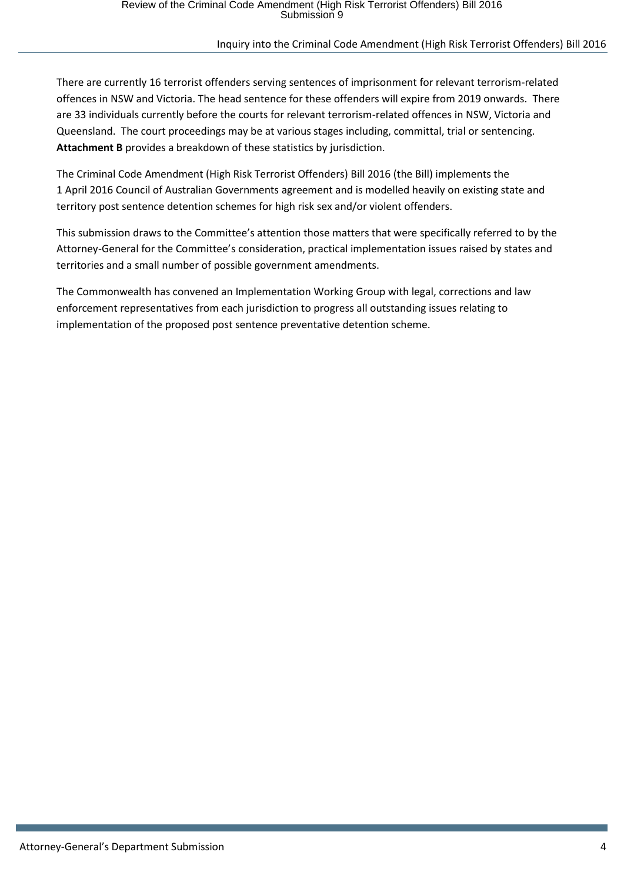There are currently 16 terrorist offenders serving sentences of imprisonment for relevant terrorism-related offences in NSW and Victoria. The head sentence for these offenders will expire from 2019 onwards. There are 33 individuals currently before the courts for relevant terrorism-related offences in NSW, Victoria and Queensland. The court proceedings may be at various stages including, committal, trial or sentencing. **Attachment B** provides a breakdown of these statistics by jurisdiction.

The Criminal Code Amendment (High Risk Terrorist Offenders) Bill 2016 (the Bill) implements the 1 April 2016 Council of Australian Governments agreement and is modelled heavily on existing state and territory post sentence detention schemes for high risk sex and/or violent offenders.

This submission draws to the Committee's attention those matters that were specifically referred to by the Attorney-General for the Committee's consideration, practical implementation issues raised by states and territories and a small number of possible government amendments.

The Commonwealth has convened an Implementation Working Group with legal, corrections and law enforcement representatives from each jurisdiction to progress all outstanding issues relating to implementation of the proposed post sentence preventative detention scheme.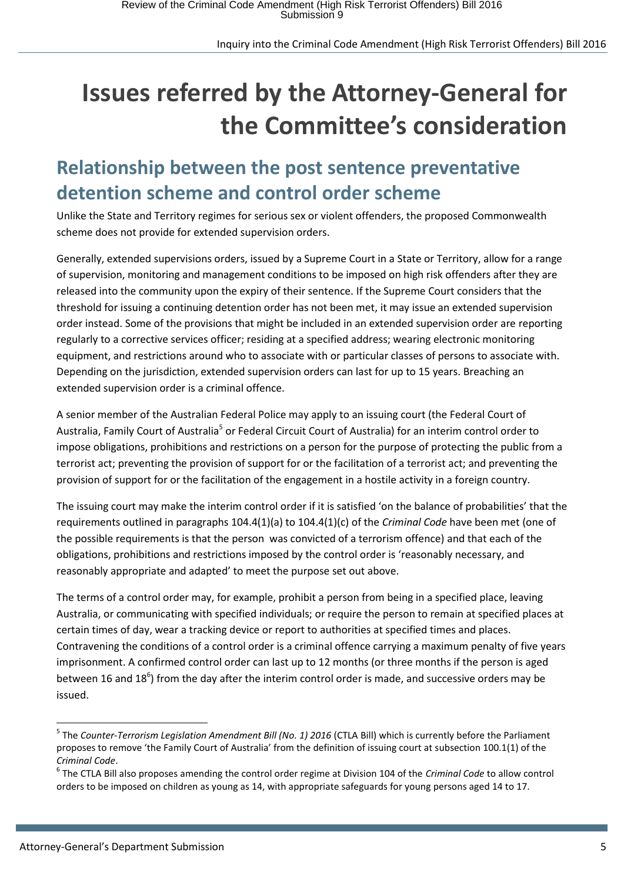# <span id="page-4-0"></span>**Issues referred by the Attorney-General for the Committee's consideration**

### <span id="page-4-1"></span>**Relationship between the post sentence preventative detention scheme and control order scheme**

Unlike the State and Territory regimes for serious sex or violent offenders, the proposed Commonwealth scheme does not provide for extended supervision orders.

Generally, extended supervisions orders, issued by a Supreme Court in a State or Territory, allow for a range of supervision, monitoring and management conditions to be imposed on high risk offenders after they are released into the community upon the expiry of their sentence. If the Supreme Court considers that the threshold for issuing a continuing detention order has not been met, it may issue an extended supervision order instead. Some of the provisions that might be included in an extended supervision order are reporting regularly to a corrective services officer; residing at a specified address; wearing electronic monitoring equipment, and restrictions around who to associate with or particular classes of persons to associate with. Depending on the jurisdiction, extended supervision orders can last for up to 15 years. Breaching an extended supervision order is a criminal offence.

A senior member of the Australian Federal Police may apply to an issuing court (the Federal Court of Australia, Family Court of Australia<sup>5</sup> or Federal Circuit Court of Australia) for an interim control order to impose obligations, prohibitions and restrictions on a person for the purpose of protecting the public from a terrorist act; preventing the provision of support for or the facilitation of a terrorist act; and preventing the provision of support for or the facilitation of the engagement in a hostile activity in a foreign country.

The issuing court may make the interim control order if it is satisfied 'on the balance of probabilities' that the requirements outlined in paragraphs 104.4(1)(a) to 104.4(1)(c) of the *Criminal Code* have been met (one of the possible requirements is that the person was convicted of a terrorism offence) and that each of the obligations, prohibitions and restrictions imposed by the control order is 'reasonably necessary, and reasonably appropriate and adapted' to meet the purpose set out above.

The terms of a control order may, for example, prohibit a person from being in a specified place, leaving Australia, or communicating with specified individuals; or require the person to remain at specified places at certain times of day, wear a tracking device or report to authorities at specified times and places. Contravening the conditions of a control order is a criminal offence carrying a maximum penalty of five years imprisonment. A confirmed control order can last up to 12 months (or three months if the person is aged between 16 and 18<sup>6</sup>) from the day after the interim control order is made, and successive orders may be issued.

**.** 

<sup>5</sup> The *Counter-Terrorism Legislation Amendment Bill (No. 1) 2016* (CTLA Bill) which is currently before the Parliament proposes to remove 'the Family Court of Australia' from the definition of issuing court at subsection 100.1(1) of the *Criminal Code*.

<sup>6</sup> The CTLA Bill also proposes amending the control order regime at Division 104 of the *Criminal Code* to allow control orders to be imposed on children as young as 14, with appropriate safeguards for young persons aged 14 to 17.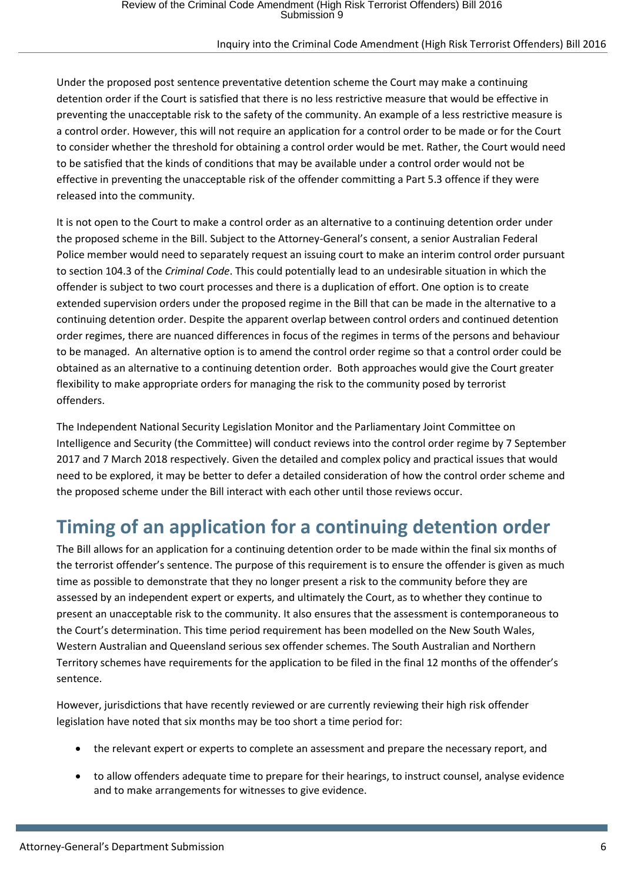Under the proposed post sentence preventative detention scheme the Court may make a continuing detention order if the Court is satisfied that there is no less restrictive measure that would be effective in preventing the unacceptable risk to the safety of the community. An example of a less restrictive measure is a control order. However, this will not require an application for a control order to be made or for the Court to consider whether the threshold for obtaining a control order would be met. Rather, the Court would need to be satisfied that the kinds of conditions that may be available under a control order would not be effective in preventing the unacceptable risk of the offender committing a Part 5.3 offence if they were released into the community.

It is not open to the Court to make a control order as an alternative to a continuing detention order under the proposed scheme in the Bill. Subject to the Attorney-General's consent, a senior Australian Federal Police member would need to separately request an issuing court to make an interim control order pursuant to section 104.3 of the *Criminal Code*. This could potentially lead to an undesirable situation in which the offender is subject to two court processes and there is a duplication of effort. One option is to create extended supervision orders under the proposed regime in the Bill that can be made in the alternative to a continuing detention order. Despite the apparent overlap between control orders and continued detention order regimes, there are nuanced differences in focus of the regimes in terms of the persons and behaviour to be managed. An alternative option is to amend the control order regime so that a control order could be obtained as an alternative to a continuing detention order. Both approaches would give the Court greater flexibility to make appropriate orders for managing the risk to the community posed by terrorist offenders.

The Independent National Security Legislation Monitor and the Parliamentary Joint Committee on Intelligence and Security (the Committee) will conduct reviews into the control order regime by 7 September 2017 and 7 March 2018 respectively. Given the detailed and complex policy and practical issues that would need to be explored, it may be better to defer a detailed consideration of how the control order scheme and the proposed scheme under the Bill interact with each other until those reviews occur.

### <span id="page-5-0"></span>**Timing of an application for a continuing detention order**

The Bill allows for an application for a continuing detention order to be made within the final six months of the terrorist offender's sentence. The purpose of this requirement is to ensure the offender is given as much time as possible to demonstrate that they no longer present a risk to the community before they are assessed by an independent expert or experts, and ultimately the Court, as to whether they continue to present an unacceptable risk to the community. It also ensures that the assessment is contemporaneous to the Court's determination. This time period requirement has been modelled on the New South Wales, Western Australian and Queensland serious sex offender schemes. The South Australian and Northern Territory schemes have requirements for the application to be filed in the final 12 months of the offender's sentence.

However, jurisdictions that have recently reviewed or are currently reviewing their high risk offender legislation have noted that six months may be too short a time period for:

- the relevant expert or experts to complete an assessment and prepare the necessary report, and
- to allow offenders adequate time to prepare for their hearings, to instruct counsel, analyse evidence and to make arrangements for witnesses to give evidence.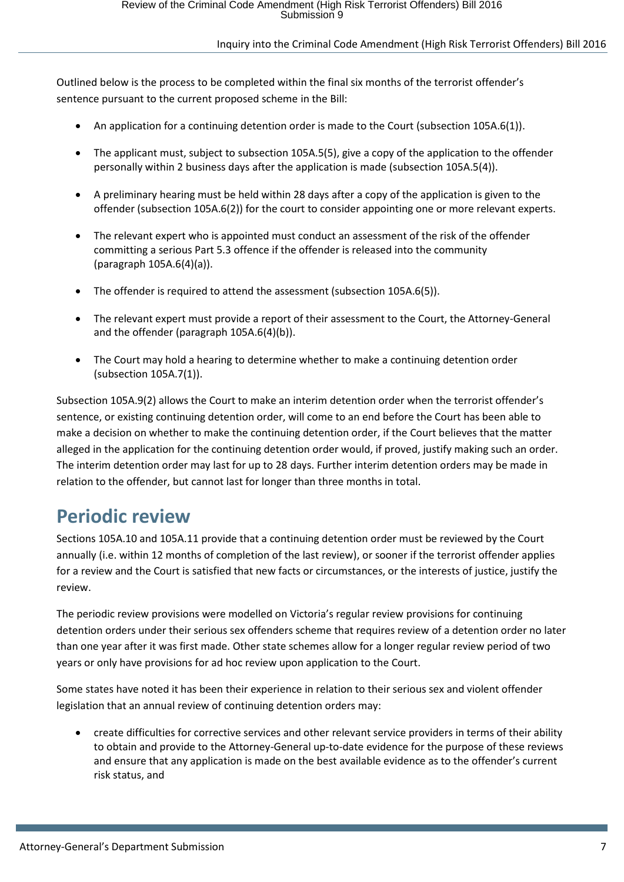Outlined below is the process to be completed within the final six months of the terrorist offender's sentence pursuant to the current proposed scheme in the Bill:

- An application for a continuing detention order is made to the Court (subsection 105A.6(1)).
- The applicant must, subject to subsection 105A.5(5), give a copy of the application to the offender personally within 2 business days after the application is made (subsection 105A.5(4)).
- A preliminary hearing must be held within 28 days after a copy of the application is given to the offender (subsection 105A.6(2)) for the court to consider appointing one or more relevant experts.
- The relevant expert who is appointed must conduct an assessment of the risk of the offender committing a serious Part 5.3 offence if the offender is released into the community (paragraph 105A.6(4)(a)).
- The offender is required to attend the assessment (subsection 105A.6(5)).
- The relevant expert must provide a report of their assessment to the Court, the Attorney-General and the offender (paragraph 105A.6(4)(b)).
- The Court may hold a hearing to determine whether to make a continuing detention order (subsection 105A.7(1)).

Subsection 105A.9(2) allows the Court to make an interim detention order when the terrorist offender's sentence, or existing continuing detention order, will come to an end before the Court has been able to make a decision on whether to make the continuing detention order, if the Court believes that the matter alleged in the application for the continuing detention order would, if proved, justify making such an order. The interim detention order may last for up to 28 days. Further interim detention orders may be made in relation to the offender, but cannot last for longer than three months in total.

### <span id="page-6-0"></span>**Periodic review**

Sections 105A.10 and 105A.11 provide that a continuing detention order must be reviewed by the Court annually (i.e. within 12 months of completion of the last review), or sooner if the terrorist offender applies for a review and the Court is satisfied that new facts or circumstances, or the interests of justice, justify the review.

The periodic review provisions were modelled on Victoria's regular review provisions for continuing detention orders under their serious sex offenders scheme that requires review of a detention order no later than one year after it was first made. Other state schemes allow for a longer regular review period of two years or only have provisions for ad hoc review upon application to the Court.

Some states have noted it has been their experience in relation to their serious sex and violent offender legislation that an annual review of continuing detention orders may:

 create difficulties for corrective services and other relevant service providers in terms of their ability to obtain and provide to the Attorney-General up-to-date evidence for the purpose of these reviews and ensure that any application is made on the best available evidence as to the offender's current risk status, and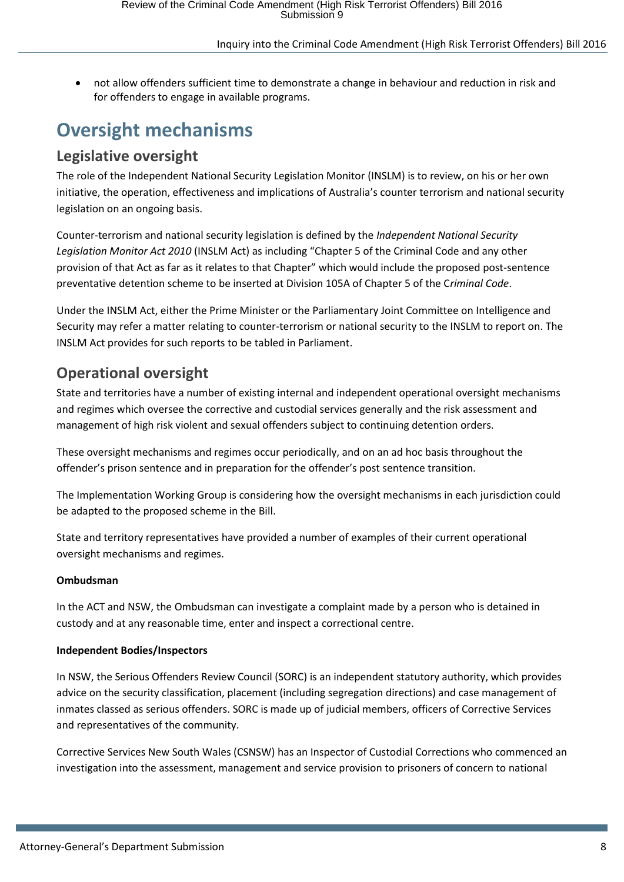not allow offenders sufficient time to demonstrate a change in behaviour and reduction in risk and for offenders to engage in available programs.

### <span id="page-7-0"></span>**Oversight mechanisms**

### <span id="page-7-1"></span>**Legislative oversight**

The role of the Independent National Security Legislation Monitor (INSLM) is to review, on his or her own initiative, the operation, effectiveness and implications of Australia's counter terrorism and national security legislation on an ongoing basis.

Counter-terrorism and national security legislation is defined by the *Independent National Security Legislation Monitor Act 2010* (INSLM Act) as including "Chapter 5 of the Criminal Code and any other provision of that Act as far as it relates to that Chapter" which would include the proposed post-sentence preventative detention scheme to be inserted at Division 105A of Chapter 5 of the C*riminal Code*.

Under the INSLM Act, either the Prime Minister or the Parliamentary Joint Committee on Intelligence and Security may refer a matter relating to counter-terrorism or national security to the INSLM to report on. The INSLM Act provides for such reports to be tabled in Parliament.

### <span id="page-7-2"></span>**Operational oversight**

State and territories have a number of existing internal and independent operational oversight mechanisms and regimes which oversee the corrective and custodial services generally and the risk assessment and management of high risk violent and sexual offenders subject to continuing detention orders.

These oversight mechanisms and regimes occur periodically, and on an ad hoc basis throughout the offender's prison sentence and in preparation for the offender's post sentence transition.

The Implementation Working Group is considering how the oversight mechanisms in each jurisdiction could be adapted to the proposed scheme in the Bill.

State and territory representatives have provided a number of examples of their current operational oversight mechanisms and regimes.

### **Ombudsman**

In the ACT and NSW, the Ombudsman can investigate a complaint made by a person who is detained in custody and at any reasonable time, enter and inspect a correctional centre.

#### **Independent Bodies/Inspectors**

In NSW, the Serious Offenders Review Council (SORC) is an independent statutory authority, which provides advice on the security classification, placement (including segregation directions) and case management of inmates classed as serious offenders. SORC is made up of judicial members, officers of Corrective Services and representatives of the community.

Corrective Services New South Wales (CSNSW) has an Inspector of Custodial Corrections who commenced an investigation into the assessment, management and service provision to prisoners of concern to national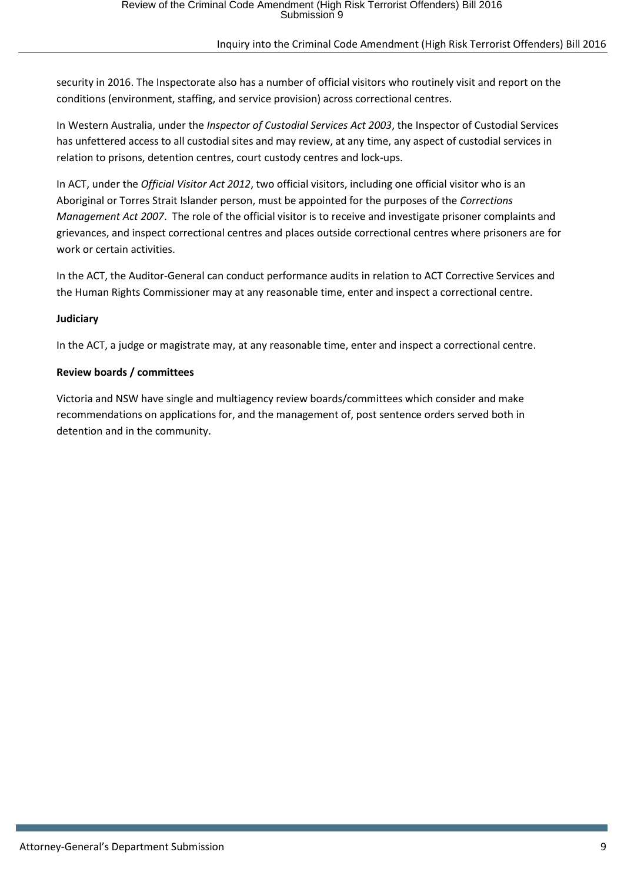security in 2016. The Inspectorate also has a number of official visitors who routinely visit and report on the conditions (environment, staffing, and service provision) across correctional centres.

In Western Australia, under the *Inspector of Custodial Services Act 2003*, the Inspector of Custodial Services has unfettered access to all custodial sites and may review, at any time, any aspect of custodial services in relation to prisons, detention centres, court custody centres and lock-ups.

In ACT, under the *Official Visitor Act 2012*, two official visitors, including one official visitor who is an Aboriginal or Torres Strait Islander person, must be appointed for the purposes of the *Corrections Management Act 2007*. The role of the official visitor is to receive and investigate prisoner complaints and grievances, and inspect correctional centres and places outside correctional centres where prisoners are for work or certain activities.

In the ACT, the Auditor-General can conduct performance audits in relation to ACT Corrective Services and the Human Rights Commissioner may at any reasonable time, enter and inspect a correctional centre.

#### **Judiciary**

In the ACT, a judge or magistrate may, at any reasonable time, enter and inspect a correctional centre.

#### **Review boards / committees**

Victoria and NSW have single and multiagency review boards/committees which consider and make recommendations on applications for, and the management of, post sentence orders served both in detention and in the community.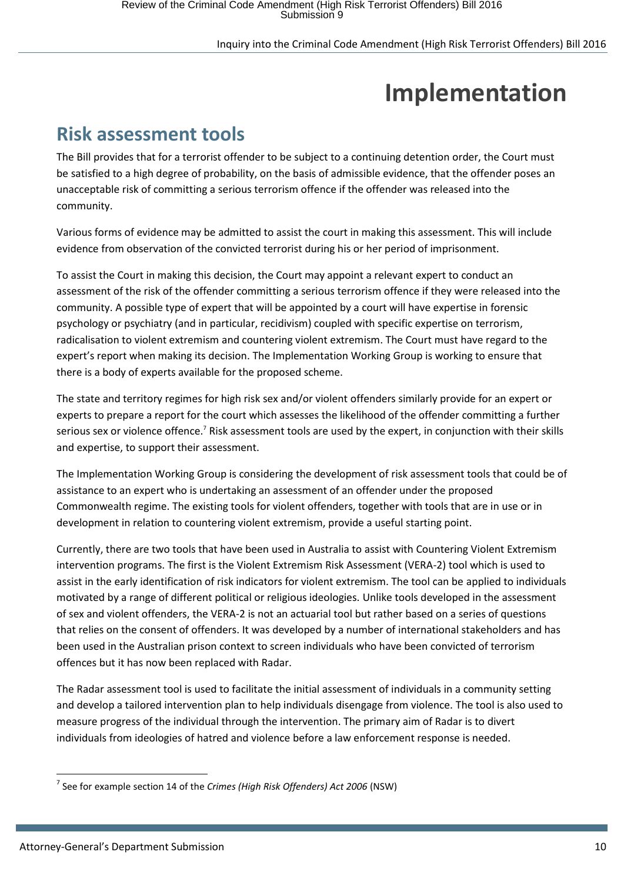# **Implementation**

### <span id="page-9-1"></span><span id="page-9-0"></span>**Risk assessment tools**

The Bill provides that for a terrorist offender to be subject to a continuing detention order, the Court must be satisfied to a high degree of probability, on the basis of admissible evidence, that the offender poses an unacceptable risk of committing a serious terrorism offence if the offender was released into the community.

Various forms of evidence may be admitted to assist the court in making this assessment. This will include evidence from observation of the convicted terrorist during his or her period of imprisonment.

To assist the Court in making this decision, the Court may appoint a relevant expert to conduct an assessment of the risk of the offender committing a serious terrorism offence if they were released into the community. A possible type of expert that will be appointed by a court will have expertise in forensic psychology or psychiatry (and in particular, recidivism) coupled with specific expertise on terrorism, radicalisation to violent extremism and countering violent extremism. The Court must have regard to the expert's report when making its decision. The Implementation Working Group is working to ensure that there is a body of experts available for the proposed scheme.

The state and territory regimes for high risk sex and/or violent offenders similarly provide for an expert or experts to prepare a report for the court which assesses the likelihood of the offender committing a further serious sex or violence offence.<sup>7</sup> Risk assessment tools are used by the expert, in conjunction with their skills and expertise, to support their assessment.

The Implementation Working Group is considering the development of risk assessment tools that could be of assistance to an expert who is undertaking an assessment of an offender under the proposed Commonwealth regime. The existing tools for violent offenders, together with tools that are in use or in development in relation to countering violent extremism, provide a useful starting point.

Currently, there are two tools that have been used in Australia to assist with Countering Violent Extremism intervention programs. The first is the Violent Extremism Risk Assessment (VERA-2) tool which is used to assist in the early identification of risk indicators for violent extremism. The tool can be applied to individuals motivated by a range of different political or religious ideologies. Unlike tools developed in the assessment of sex and violent offenders, the VERA-2 is not an actuarial tool but rather based on a series of questions that relies on the consent of offenders. It was developed by a number of international stakeholders and has been used in the Australian prison context to screen individuals who have been convicted of terrorism offences but it has now been replaced with Radar.

The Radar assessment tool is used to facilitate the initial assessment of individuals in a community setting and develop a tailored intervention plan to help individuals disengage from violence. The tool is also used to measure progress of the individual through the intervention. The primary aim of Radar is to divert individuals from ideologies of hatred and violence before a law enforcement response is needed.

**<sup>.</sup>** 7 See for example section 14 of the *Crimes (High Risk Offenders) Act 2006* (NSW)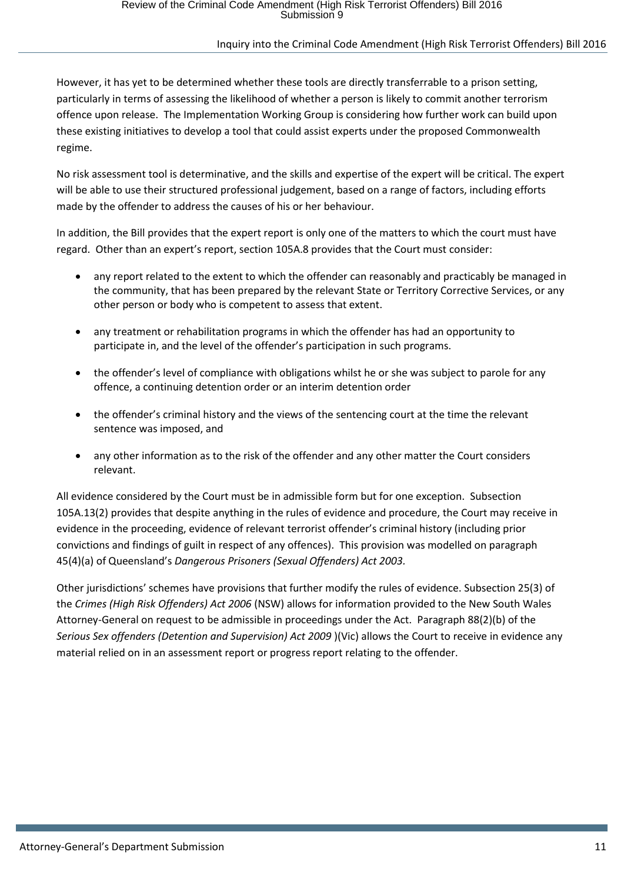However, it has yet to be determined whether these tools are directly transferrable to a prison setting, particularly in terms of assessing the likelihood of whether a person is likely to commit another terrorism offence upon release. The Implementation Working Group is considering how further work can build upon these existing initiatives to develop a tool that could assist experts under the proposed Commonwealth regime.

No risk assessment tool is determinative, and the skills and expertise of the expert will be critical. The expert will be able to use their structured professional judgement, based on a range of factors, including efforts made by the offender to address the causes of his or her behaviour.

In addition, the Bill provides that the expert report is only one of the matters to which the court must have regard. Other than an expert's report, section 105A.8 provides that the Court must consider:

- any report related to the extent to which the offender can reasonably and practicably be managed in the community, that has been prepared by the relevant State or Territory Corrective Services, or any other person or body who is competent to assess that extent.
- any treatment or rehabilitation programs in which the offender has had an opportunity to participate in, and the level of the offender's participation in such programs.
- the offender's level of compliance with obligations whilst he or she was subject to parole for any offence, a continuing detention order or an interim detention order
- the offender's criminal history and the views of the sentencing court at the time the relevant sentence was imposed, and
- any other information as to the risk of the offender and any other matter the Court considers relevant.

All evidence considered by the Court must be in admissible form but for one exception. Subsection 105A.13(2) provides that despite anything in the rules of evidence and procedure, the Court may receive in evidence in the proceeding, evidence of relevant terrorist offender's criminal history (including prior convictions and findings of guilt in respect of any offences). This provision was modelled on paragraph 45(4)(a) of Queensland's *Dangerous Prisoners (Sexual Offenders) Act 2003.* 

Other jurisdictions' schemes have provisions that further modify the rules of evidence. Subsection 25(3) of the *Crimes (High Risk Offenders) Act 2006* (NSW) allows for information provided to the New South Wales Attorney-General on request to be admissible in proceedings under the Act. Paragraph 88(2)(b) of the *Serious Sex offenders (Detention and Supervision) Act 2009* )(Vic) allows the Court to receive in evidence any material relied on in an assessment report or progress report relating to the offender.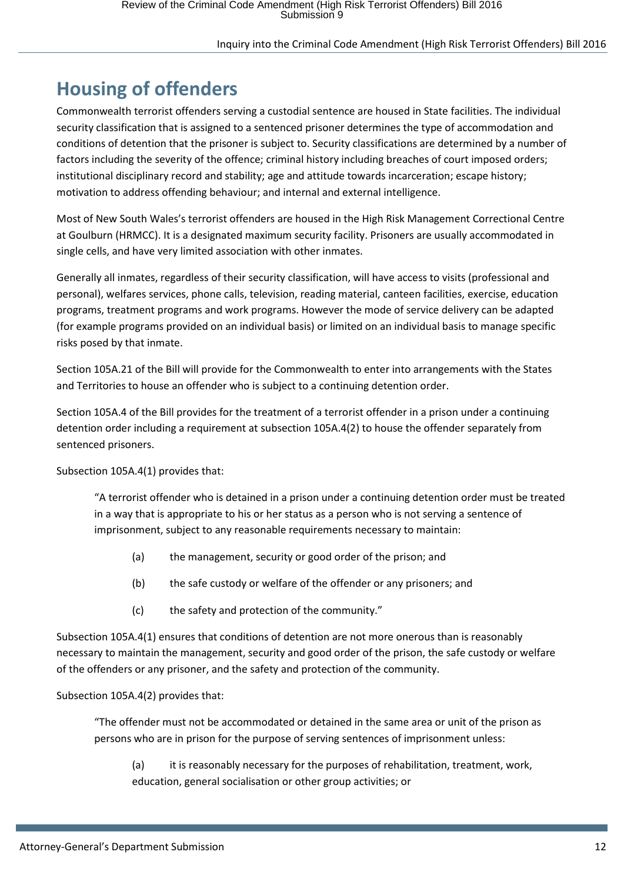## <span id="page-11-0"></span>**Housing of offenders**

Commonwealth terrorist offenders serving a custodial sentence are housed in State facilities. The individual security classification that is assigned to a sentenced prisoner determines the type of accommodation and conditions of detention that the prisoner is subject to. Security classifications are determined by a number of factors including the severity of the offence; criminal history including breaches of court imposed orders; institutional disciplinary record and stability; age and attitude towards incarceration; escape history; motivation to address offending behaviour; and internal and external intelligence.

Most of New South Wales's terrorist offenders are housed in the High Risk Management Correctional Centre at Goulburn (HRMCC). It is a designated maximum security facility. Prisoners are usually accommodated in single cells, and have very limited association with other inmates.

Generally all inmates, regardless of their security classification, will have access to visits (professional and personal), welfares services, phone calls, television, reading material, canteen facilities, exercise, education programs, treatment programs and work programs. However the mode of service delivery can be adapted (for example programs provided on an individual basis) or limited on an individual basis to manage specific risks posed by that inmate.

Section 105A.21 of the Bill will provide for the Commonwealth to enter into arrangements with the States and Territories to house an offender who is subject to a continuing detention order.

Section 105A.4 of the Bill provides for the treatment of a terrorist offender in a prison under a continuing detention order including a requirement at subsection 105A.4(2) to house the offender separately from sentenced prisoners.

Subsection 105A.4(1) provides that:

"A terrorist offender who is detained in a prison under a continuing detention order must be treated in a way that is appropriate to his or her status as a person who is not serving a sentence of imprisonment, subject to any reasonable requirements necessary to maintain:

- (a) the management, security or good order of the prison; and
- (b) the safe custody or welfare of the offender or any prisoners; and
- (c) the safety and protection of the community."

Subsection 105A.4(1) ensures that conditions of detention are not more onerous than is reasonably necessary to maintain the management, security and good order of the prison, the safe custody or welfare of the offenders or any prisoner, and the safety and protection of the community.

### Subsection 105A.4(2) provides that:

"The offender must not be accommodated or detained in the same area or unit of the prison as persons who are in prison for the purpose of serving sentences of imprisonment unless:

(a) it is reasonably necessary for the purposes of rehabilitation, treatment, work, education, general socialisation or other group activities; or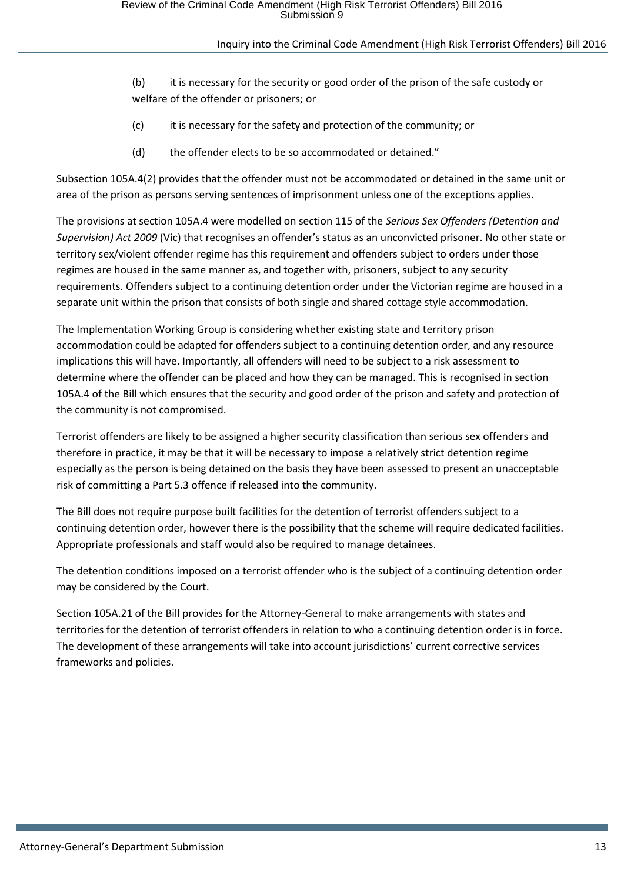- (b) it is necessary for the security or good order of the prison of the safe custody or welfare of the offender or prisoners; or
- (c) it is necessary for the safety and protection of the community; or
- (d) the offender elects to be so accommodated or detained."

Subsection 105A.4(2) provides that the offender must not be accommodated or detained in the same unit or area of the prison as persons serving sentences of imprisonment unless one of the exceptions applies.

The provisions at section 105A.4 were modelled on section 115 of the *Serious Sex Offenders (Detention and Supervision) Act 2009* (Vic) that recognises an offender's status as an unconvicted prisoner. No other state or territory sex/violent offender regime has this requirement and offenders subject to orders under those regimes are housed in the same manner as, and together with, prisoners, subject to any security requirements. Offenders subject to a continuing detention order under the Victorian regime are housed in a separate unit within the prison that consists of both single and shared cottage style accommodation.

The Implementation Working Group is considering whether existing state and territory prison accommodation could be adapted for offenders subject to a continuing detention order, and any resource implications this will have. Importantly, all offenders will need to be subject to a risk assessment to determine where the offender can be placed and how they can be managed. This is recognised in section 105A.4 of the Bill which ensures that the security and good order of the prison and safety and protection of the community is not compromised.

Terrorist offenders are likely to be assigned a higher security classification than serious sex offenders and therefore in practice, it may be that it will be necessary to impose a relatively strict detention regime especially as the person is being detained on the basis they have been assessed to present an unacceptable risk of committing a Part 5.3 offence if released into the community.

The Bill does not require purpose built facilities for the detention of terrorist offenders subject to a continuing detention order, however there is the possibility that the scheme will require dedicated facilities. Appropriate professionals and staff would also be required to manage detainees.

The detention conditions imposed on a terrorist offender who is the subject of a continuing detention order may be considered by the Court.

Section 105A.21 of the Bill provides for the Attorney-General to make arrangements with states and territories for the detention of terrorist offenders in relation to who a continuing detention order is in force. The development of these arrangements will take into account jurisdictions' current corrective services frameworks and policies.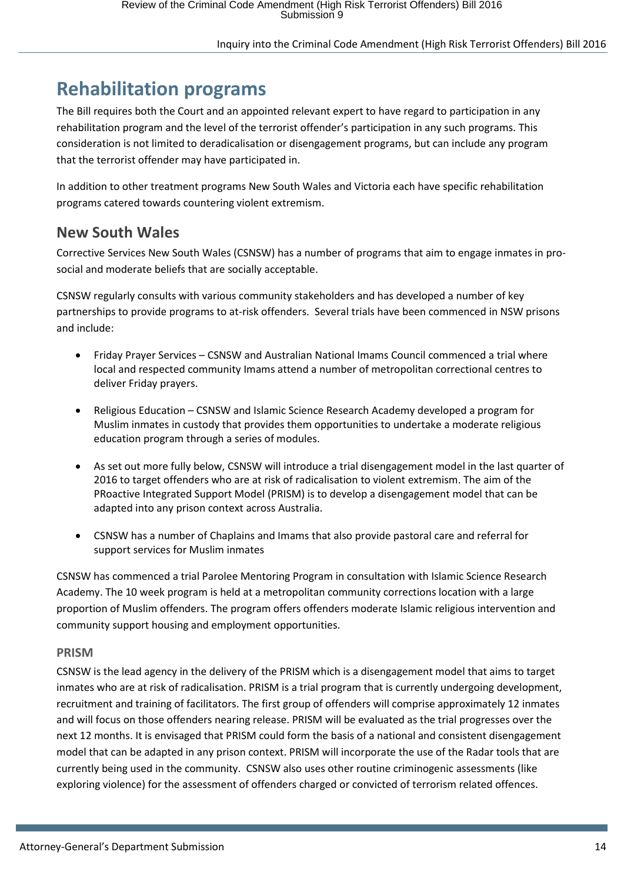### <span id="page-13-0"></span>**Rehabilitation programs**

The Bill requires both the Court and an appointed relevant expert to have regard to participation in any rehabilitation program and the level of the terrorist offender's participation in any such programs. This consideration is not limited to deradicalisation or disengagement programs, but can include any program that the terrorist offender may have participated in.

In addition to other treatment programs New South Wales and Victoria each have specific rehabilitation programs catered towards countering violent extremism.

### <span id="page-13-1"></span>**New South Wales**

Corrective Services New South Wales (CSNSW) has a number of programs that aim to engage inmates in prosocial and moderate beliefs that are socially acceptable.

CSNSW regularly consults with various community stakeholders and has developed a number of key partnerships to provide programs to at-risk offenders. Several trials have been commenced in NSW prisons and include:

- Friday Prayer Services CSNSW and Australian National Imams Council commenced a trial where local and respected community Imams attend a number of metropolitan correctional centres to deliver Friday prayers.
- Religious Education CSNSW and Islamic Science Research Academy developed a program for Muslim inmates in custody that provides them opportunities to undertake a moderate religious education program through a series of modules.
- As set out more fully below, CSNSW will introduce a trial disengagement model in the last quarter of 2016 to target offenders who are at risk of radicalisation to violent extremism. The aim of the PRoactive Integrated Support Model (PRISM) is to develop a disengagement model that can be adapted into any prison context across Australia.
- CSNSW has a number of Chaplains and Imams that also provide pastoral care and referral for support services for Muslim inmates

CSNSW has commenced a trial Parolee Mentoring Program in consultation with Islamic Science Research Academy. The 10 week program is held at a metropolitan community corrections location with a large proportion of Muslim offenders. The program offers offenders moderate Islamic religious intervention and community support housing and employment opportunities.

### **PRISM**

CSNSW is the lead agency in the delivery of the PRISM which is a disengagement model that aims to target inmates who are at risk of radicalisation. PRISM is a trial program that is currently undergoing development, recruitment and training of facilitators. The first group of offenders will comprise approximately 12 inmates and will focus on those offenders nearing release. PRISM will be evaluated as the trial progresses over the next 12 months. It is envisaged that PRISM could form the basis of a national and consistent disengagement model that can be adapted in any prison context. PRISM will incorporate the use of the Radar tools that are currently being used in the community. CSNSW also uses other routine criminogenic assessments (like exploring violence) for the assessment of offenders charged or convicted of terrorism related offences.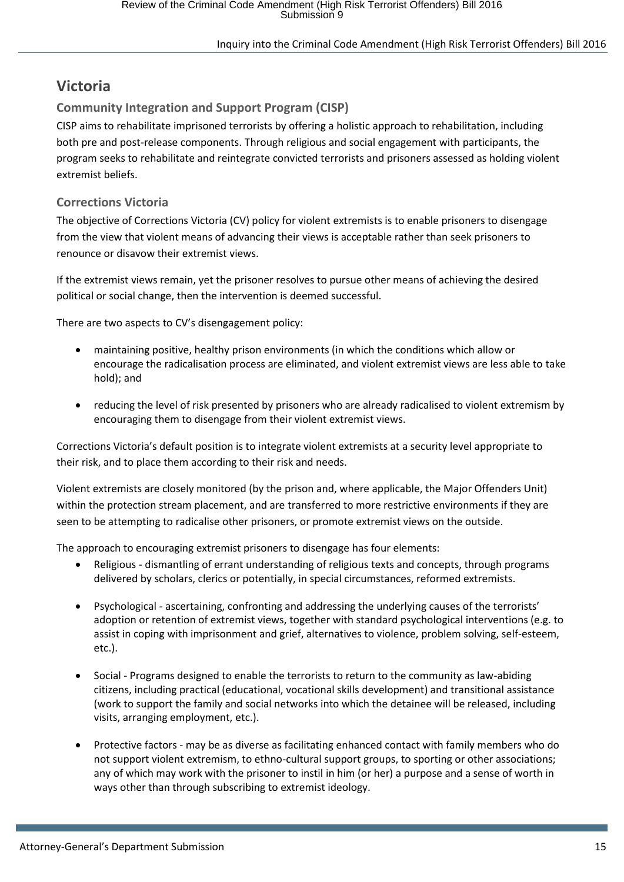### <span id="page-14-0"></span>**Victoria**

### **Community Integration and Support Program (CISP)**

CISP aims to rehabilitate imprisoned terrorists by offering a holistic approach to rehabilitation, including both pre and post-release components. Through religious and social engagement with participants, the program seeks to rehabilitate and reintegrate convicted terrorists and prisoners assessed as holding violent extremist beliefs.

### **Corrections Victoria**

The objective of Corrections Victoria (CV) policy for violent extremists is to enable prisoners to disengage from the view that violent means of advancing their views is acceptable rather than seek prisoners to renounce or disavow their extremist views.

If the extremist views remain, yet the prisoner resolves to pursue other means of achieving the desired political or social change, then the intervention is deemed successful.

There are two aspects to CV's disengagement policy:

- maintaining positive, healthy prison environments (in which the conditions which allow or encourage the radicalisation process are eliminated, and violent extremist views are less able to take hold); and
- reducing the level of risk presented by prisoners who are already radicalised to violent extremism by encouraging them to disengage from their violent extremist views.

Corrections Victoria's default position is to integrate violent extremists at a security level appropriate to their risk, and to place them according to their risk and needs.

Violent extremists are closely monitored (by the prison and, where applicable, the Major Offenders Unit) within the protection stream placement, and are transferred to more restrictive environments if they are seen to be attempting to radicalise other prisoners, or promote extremist views on the outside.

The approach to encouraging extremist prisoners to disengage has four elements:

- Religious dismantling of errant understanding of religious texts and concepts, through programs delivered by scholars, clerics or potentially, in special circumstances, reformed extremists.
- Psychological ascertaining, confronting and addressing the underlying causes of the terrorists' adoption or retention of extremist views, together with standard psychological interventions (e.g. to assist in coping with imprisonment and grief, alternatives to violence, problem solving, self-esteem, etc.).
- Social Programs designed to enable the terrorists to return to the community as law-abiding citizens, including practical (educational, vocational skills development) and transitional assistance (work to support the family and social networks into which the detainee will be released, including visits, arranging employment, etc.).
- Protective factors may be as diverse as facilitating enhanced contact with family members who do not support violent extremism, to ethno-cultural support groups, to sporting or other associations; any of which may work with the prisoner to instil in him (or her) a purpose and a sense of worth in ways other than through subscribing to extremist ideology.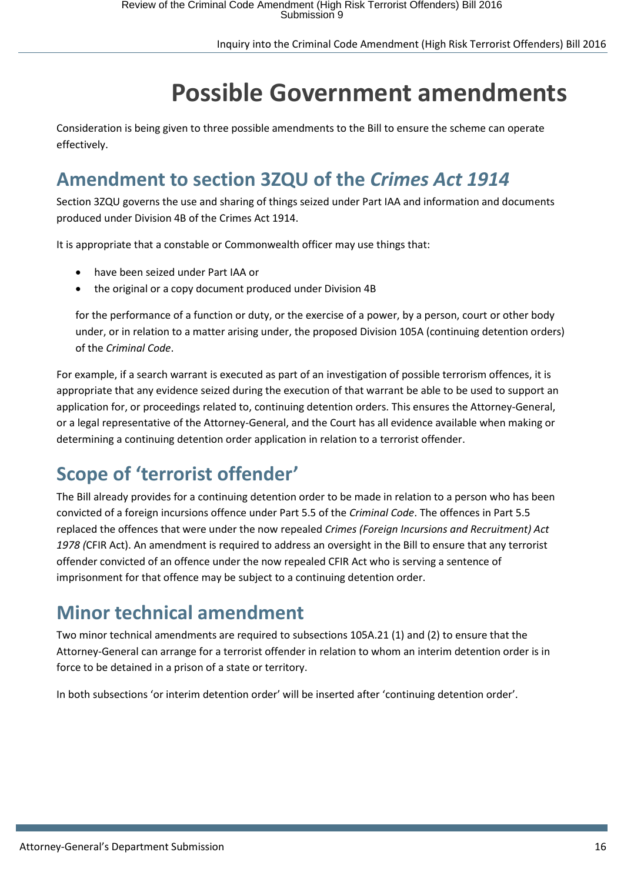# **Possible Government amendments**

<span id="page-15-0"></span>Consideration is being given to three possible amendments to the Bill to ensure the scheme can operate effectively.

## <span id="page-15-1"></span>**Amendment to section 3ZQU of the** *Crimes Act 1914*

Section 3ZQU governs the use and sharing of things seized under Part IAA and information and documents produced under Division 4B of the Crimes Act 1914.

It is appropriate that a constable or Commonwealth officer may use things that:

- have been seized under Part IAA or
- the original or a copy document produced under Division 4B

for the performance of a function or duty, or the exercise of a power, by a person, court or other body under, or in relation to a matter arising under, the proposed Division 105A (continuing detention orders) of the *Criminal Code*.

For example, if a search warrant is executed as part of an investigation of possible terrorism offences, it is appropriate that any evidence seized during the execution of that warrant be able to be used to support an application for, or proceedings related to, continuing detention orders. This ensures the Attorney-General, or a legal representative of the Attorney-General, and the Court has all evidence available when making or determining a continuing detention order application in relation to a terrorist offender.

## <span id="page-15-2"></span>**Scope of 'terrorist offender'**

The Bill already provides for a continuing detention order to be made in relation to a person who has been convicted of a foreign incursions offence under Part 5.5 of the *Criminal Code*. The offences in Part 5.5 replaced the offences that were under the now repealed *Crimes (Foreign Incursions and Recruitment) Act 1978 (*CFIR Act). An amendment is required to address an oversight in the Bill to ensure that any terrorist offender convicted of an offence under the now repealed CFIR Act who is serving a sentence of imprisonment for that offence may be subject to a continuing detention order.

### <span id="page-15-3"></span>**Minor technical amendment**

Two minor technical amendments are required to subsections 105A.21 (1) and (2) to ensure that the Attorney-General can arrange for a terrorist offender in relation to whom an interim detention order is in force to be detained in a prison of a state or territory.

In both subsections 'or interim detention order' will be inserted after 'continuing detention order'.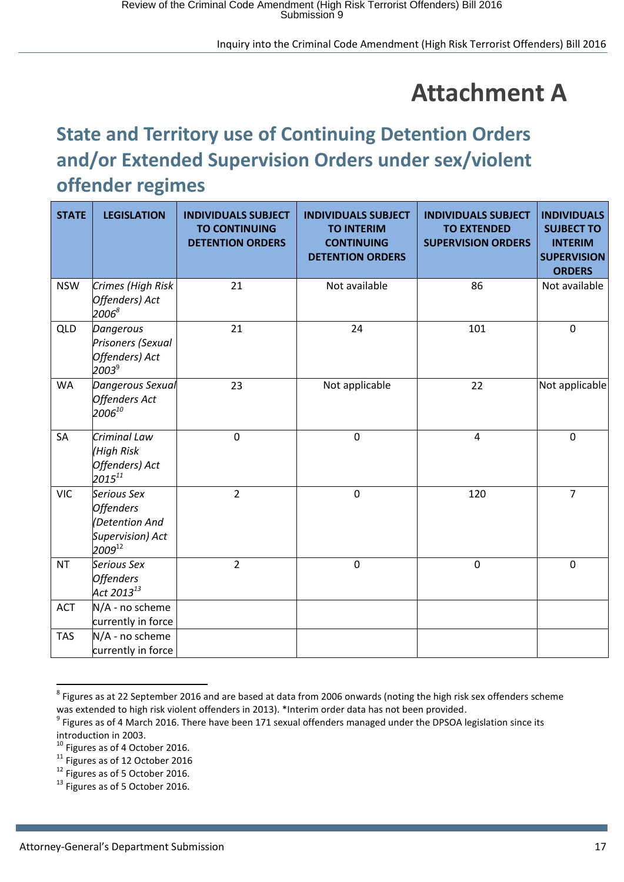## **Attachment A**

## <span id="page-16-1"></span><span id="page-16-0"></span>**State and Territory use of Continuing Detention Orders and/or Extended Supervision Orders under sex/violent offender regimes**

| <b>STATE</b> | <b>LEGISLATION</b>                                                                   | <b>INDIVIDUALS SUBJECT</b><br><b>TO CONTINUING</b><br><b>DETENTION ORDERS</b> | <b>INDIVIDUALS SUBJECT</b><br><b>TO INTERIM</b><br><b>CONTINUING</b><br><b>DETENTION ORDERS</b> | <b>INDIVIDUALS SUBJECT</b><br><b>TO EXTENDED</b><br><b>SUPERVISION ORDERS</b> | <b>INDIVIDUALS</b><br><b>SUJBECT TO</b><br><b>INTERIM</b><br><b>SUPERVISION</b><br><b>ORDERS</b> |
|--------------|--------------------------------------------------------------------------------------|-------------------------------------------------------------------------------|-------------------------------------------------------------------------------------------------|-------------------------------------------------------------------------------|--------------------------------------------------------------------------------------------------|
| <b>NSW</b>   | Crimes (High Risk<br>Offenders) Act<br>$2006^{8}$                                    | 21                                                                            | Not available                                                                                   | 86                                                                            | Not available                                                                                    |
| <b>QLD</b>   | Dangerous<br>Prisoners (Sexual<br>Offenders) Act<br>2003 <sup>9</sup>                | 21                                                                            | 24                                                                                              | 101                                                                           | $\mathbf 0$                                                                                      |
| <b>WA</b>    | Dangerous Sexual<br>Offenders Act<br>2006 $^{10}$                                    | 23                                                                            | Not applicable                                                                                  | 22                                                                            | Not applicable                                                                                   |
| SA           | Criminal Law<br>(High Risk<br>Offenders) Act<br>$2015^{11}$                          | $\mathbf 0$                                                                   | $\mathbf 0$                                                                                     | $\overline{\mathbf{4}}$                                                       | $\mathbf 0$                                                                                      |
| <b>VIC</b>   | Serious Sex<br><b>Offenders</b><br>(Detention And<br>Supervision) Act<br>$2009^{12}$ | $\overline{2}$                                                                | $\mathbf 0$                                                                                     | 120                                                                           | $\overline{7}$                                                                                   |
| <b>NT</b>    | Serious Sex<br><b>Offenders</b><br>Act 2013 $^{13}$                                  | $\overline{2}$                                                                | $\pmb{0}$                                                                                       | $\pmb{0}$                                                                     | $\mathbf 0$                                                                                      |
| <b>ACT</b>   | N/A - no scheme<br>currently in force                                                |                                                                               |                                                                                                 |                                                                               |                                                                                                  |
| <b>TAS</b>   | N/A - no scheme<br>currently in force                                                |                                                                               |                                                                                                 |                                                                               |                                                                                                  |

 $^8$  Figures as at 22 September 2016 and are based at data from 2006 onwards (noting the high risk sex offenders scheme was extended to high risk violent offenders in 2013). \*Interim order data has not been provided.

**.** 

 $9$  Figures as of 4 March 2016. There have been 171 sexual offenders managed under the DPSOA legislation since its introduction in 2003.

<sup>&</sup>lt;sup>10</sup> Figures as of 4 October 2016.

 $11$  Figures as of 12 October 2016

<sup>&</sup>lt;sup>12</sup> Figures as of 5 October 2016.

 $13$  Figures as of 5 October 2016.